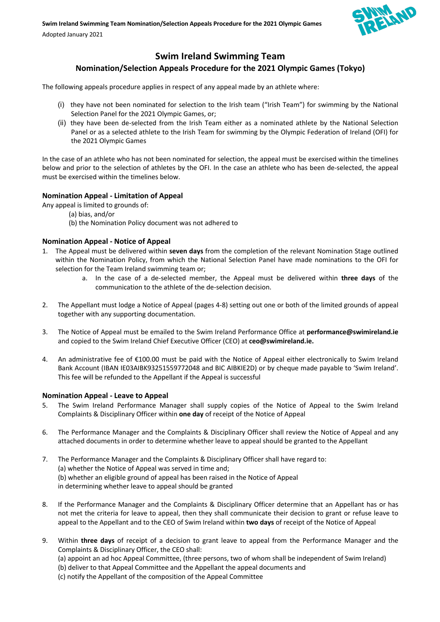

# **Swim Ireland Swimming Team**

## **Nomination/Selection Appeals Procedure for the 2021 Olympic Games (Tokyo)**

The following appeals procedure applies in respect of any appeal made by an athlete where:

- (i) they have not been nominated for selection to the Irish team ("Irish Team") for swimming by the National Selection Panel for the 2021 Olympic Games, or;
- (ii) they have been de-selected from the Irish Team either as a nominated athlete by the National Selection Panel or as a selected athlete to the Irish Team for swimming by the Olympic Federation of Ireland (OFI) for the 2021 Olympic Games

In the case of an athlete who has not been nominated for selection, the appeal must be exercised within the timelines below and prior to the selection of athletes by the OFI. In the case an athlete who has been de-selected, the appeal must be exercised within the timelines below.

### **Nomination Appeal - Limitation of Appeal**

- Any appeal is limited to grounds of:
	- (a) bias, and/or
	- (b) the Nomination Policy document was not adhered to

### **Nomination Appeal - Notice of Appeal**

- 1. The Appeal must be delivered within **seven days** from the completion of the relevant Nomination Stage outlined within the Nomination Policy, from which the National Selection Panel have made nominations to the OFI for selection for the Team Ireland swimming team or;
	- a. In the case of a de-selected member, the Appeal must be delivered within **three days** of the communication to the athlete of the de-selection decision.
- 2. The Appellant must lodge a Notice of Appeal (pages 4-8) setting out one or both of the limited grounds of appeal together with any supporting documentation.
- 3. The Notice of Appeal must be emailed to the Swim Ireland Performance Office at **performance@swimireland.ie** and copied to the Swim Ireland Chief Executive Officer (CEO) at **ceo@swimireland.ie.**
- 4. An administrative fee of €100.00 must be paid with the Notice of Appeal either electronically to Swim Ireland Bank Account (IBAN IE03AIBK93251559772048 and BIC AIBKIE2D) or by cheque made payable to 'Swim Ireland'. This fee will be refunded to the Appellant if the Appeal is successful

### **Nomination Appeal - Leave to Appeal**

- 5. The Swim Ireland Performance Manager shall supply copies of the Notice of Appeal to the Swim Ireland Complaints & Disciplinary Officer within **one day** of receipt of the Notice of Appeal
- 6. The Performance Manager and the Complaints & Disciplinary Officer shall review the Notice of Appeal and any attached documents in order to determine whether leave to appeal should be granted to the Appellant
- 7. The Performance Manager and the Complaints & Disciplinary Officer shall have regard to: (a) whether the Notice of Appeal was served in time and; (b) whether an eligible ground of appeal has been raised in the Notice of Appeal in determining whether leave to appeal should be granted
- 8. If the Performance Manager and the Complaints & Disciplinary Officer determine that an Appellant has or has not met the criteria for leave to appeal, then they shall communicate their decision to grant or refuse leave to appeal to the Appellant and to the CEO of Swim Ireland within **two days** of receipt of the Notice of Appeal
- 9. Within **three days** of receipt of a decision to grant leave to appeal from the Performance Manager and the Complaints & Disciplinary Officer, the CEO shall:

(a) appoint an ad hoc Appeal Committee, (three persons, two of whom shall be independent of Swim Ireland) (b) deliver to that Appeal Committee and the Appellant the appeal documents and (c) notify the Appellant of the composition of the Appeal Committee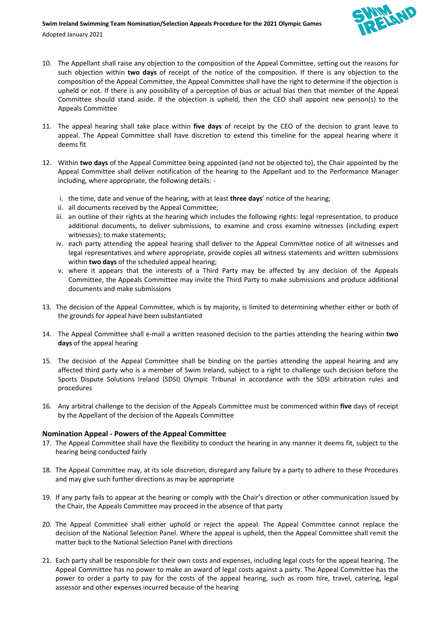

Adopted January 2021

- 10. The Appellant shall raise any objection to the composition of the Appeal Committee, setting out the reasons for such objection within **two days** of receipt of the notice of the composition. If there is any objection to the composition of the Appeal Committee, the Appeal Committee shall have the right to determine if the objection is upheld or not. If there is any possibility of a perception of bias or actual bias then that member of the Appeal Committee should stand aside. If the objection is upheld, then the CEO shall appoint new person(s) to the Appeals Committee
- 11. The appeal hearing shall take place within **five days** of receipt by the CEO of the decision to grant leave to appeal. The Appeal Committee shall have discretion to extend this timeline for the appeal hearing where it deems fit
- 12. Within **two days** of the Appeal Committee being appointed (and not be objected to), the Chair appointed by the Appeal Committee shall deliver notification of the hearing to the Appellant and to the Performance Manager including, where appropriate, the following details:
	- i. the time, date and venue of the hearing, with at least **three days**' notice of the hearing;
	- ii. all documents received by the Appeal Committee;
	- iii. an outline of their rights at the hearing which includes the following rights: legal representation, to produce additional documents, to deliver submissions, to examine and cross examine witnesses (including expert witnesses); to make statements;
	- iv. each party attending the appeal hearing shall deliver to the Appeal Committee notice of all witnesses and legal representatives and where appropriate, provide copies all witness statements and written submissions within **two days** of the scheduled appeal hearing;
	- v. where it appears that the interests of a Third Party may be affected by any decision of the Appeals Committee, the Appeals Committee may invite the Third Party to make submissions and produce additional documents and make submissions
- 13. The decision of the Appeal Committee, which is by majority, is limited to determining whether either or both of the grounds for appeal have been substantiated
- 14. The Appeal Committee shall e-mail a written reasoned decision to the parties attending the hearing within **two days** of the appeal hearing
- 15. The decision of the Appeal Committee shall be binding on the parties attending the appeal hearing and any affected third party who is a member of Swim Ireland, subject to a right to challenge such decision before the Sports Dispute Solutions Ireland (SDSI) Olympic Tribunal in accordance with the SDSI arbitration rules and procedures
- 16. Any arbitral challenge to the decision of the Appeals Committee must be commenced within **five** days of receipt by the Appellant of the decision of the Appeals Committee

### **Nomination Appeal - Powers of the Appeal Committee**

- 17. The Appeal Committee shall have the flexibility to conduct the hearing in any manner it deems fit, subject to the hearing being conducted fairly
- 18. The Appeal Committee may, at its sole discretion, disregard any failure by a party to adhere to these Procedures and may give such further directions as may be appropriate
- 19. If any party fails to appear at the hearing or comply with the Chair's direction or other communication issued by the Chair, the Appeals Committee may proceed in the absence of that party
- 20. The Appeal Committee shall either uphold or reject the appeal. The Appeal Committee cannot replace the decision of the National Selection Panel. Where the appeal is upheld, then the Appeal Committee shall remit the matter back to the National Selection Panel with directions
- 21. Each party shall be responsible for their own costs and expenses, including legal costs for the appeal hearing. The Appeal Committee has no power to make an award of legal costs against a party. The Appeal Committee has the power to order a party to pay for the costs of the appeal hearing, such as room hire, travel, catering, legal assessor and other expenses incurred because of the hearing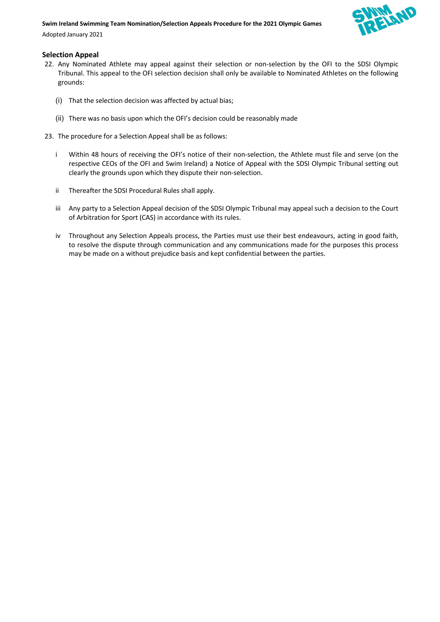#### **Swim Ireland Swimming Team Nomination/Selection Appeals Procedure for the 2021 Olympic Games**

Adopted January 2021

### **Selection Appeal**

- 22. Any Nominated Athlete may appeal against their selection or non-selection by the OFI to the SDSI Olympic Tribunal. This appeal to the OFI selection decision shall only be available to Nominated Athletes on the following grounds:
	- (i) That the selection decision was affected by actual bias;
	- (ii) There was no basis upon which the OFI's decision could be reasonably made
- 23. The procedure for a Selection Appeal shall be as follows:
	- i Within 48 hours of receiving the OFI's notice of their non-selection, the Athlete must file and serve (on the respective CEOs of the OFI and Swim Ireland) a Notice of Appeal with the SDSI Olympic Tribunal setting out clearly the grounds upon which they dispute their non-selection.
	- ii Thereafter the SDSI Procedural Rules shall apply.
	- iii Any party to a Selection Appeal decision of the SDSI Olympic Tribunal may appeal such a decision to the Court of Arbitration for Sport (CAS) in accordance with its rules.
	- iv Throughout any Selection Appeals process, the Parties must use their best endeavours, acting in good faith, to resolve the dispute through communication and any communications made for the purposes this process may be made on a without prejudice basis and kept confidential between the parties.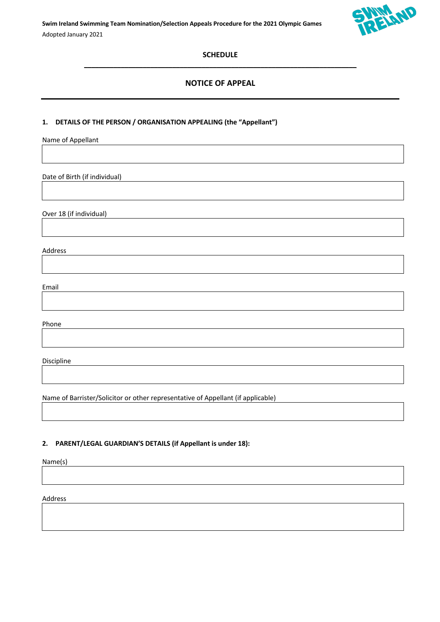**Swim Ireland Swimming Team Nomination/Selection Appeals Procedure for the 2021 Olympic Games** Adopted January 2021



### **SCHEDULE**   $\mathcal{L}_\mathcal{L} = \{ \mathcal{L}_\mathcal{L} = \{ \mathcal{L}_\mathcal{L} = \{ \mathcal{L}_\mathcal{L} = \{ \mathcal{L}_\mathcal{L} = \{ \mathcal{L}_\mathcal{L} = \{ \mathcal{L}_\mathcal{L} = \{ \mathcal{L}_\mathcal{L} = \{ \mathcal{L}_\mathcal{L} = \{ \mathcal{L}_\mathcal{L} = \{ \mathcal{L}_\mathcal{L} = \{ \mathcal{L}_\mathcal{L} = \{ \mathcal{L}_\mathcal{L} = \{ \mathcal{L}_\mathcal{L} = \{ \mathcal{L}_\mathcal{$

## **NOTICE OF APPEAL**

### **1. DETAILS OF THE PERSON / ORGANISATION APPEALING (the "Appellant")**

Name of Appellant

Date of Birth (if individual)

Over 18 (if individual)

Address

Email

Phone

Discipline

Name of Barrister/Solicitor or other representative of Appellant (if applicable)

### **2. PARENT/LEGAL GUARDIAN'S DETAILS (if Appellant is under 18):**

Name(s)

Address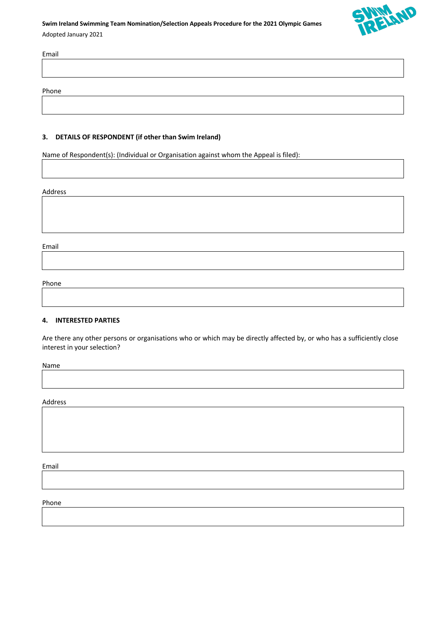## **Swim Ireland Swimming Team Nomination/Selection Appeals Procedure for the 2021 Olympic Games** Adopted January 2021



# Email

Phone

### **3. DETAILS OF RESPONDENT (if other than Swim Ireland)**

Name of Respondent(s): (Individual or Organisation against whom the Appeal is filed):

#### Address

Email

Phone

#### **4. INTERESTED PARTIES**

Are there any other persons or organisations who or which may be directly affected by, or who has a sufficiently close interest in your selection?

Name

Address

Email

Phone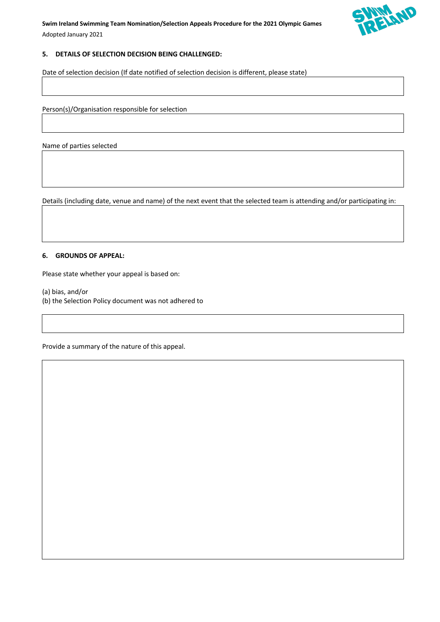

### **5. DETAILS OF SELECTION DECISION BEING CHALLENGED:**

Date of selection decision (If date notified of selection decision is different, please state)

Person(s)/Organisation responsible for selection

Name of parties selected

Details (including date, venue and name) of the next event that the selected team is attending and/or participating in:

### **6. GROUNDS OF APPEAL:**

Please state whether your appeal is based on:

- (a) bias, and/or
- (b) the Selection Policy document was not adhered to

Provide a summary of the nature of this appeal.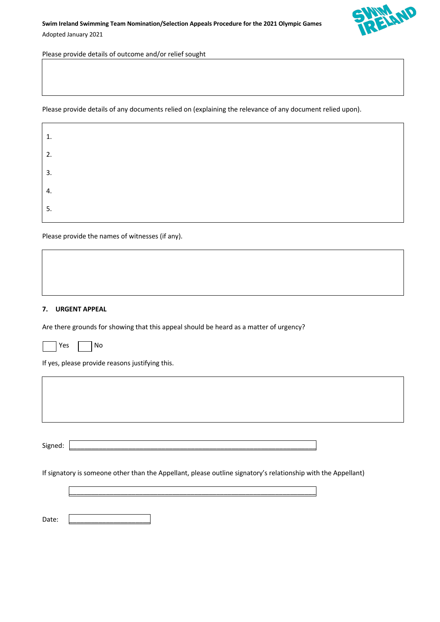

Please provide details of outcome and/or relief sought

Please provide details of any documents relied on (explaining the relevance of any document relied upon).

| 1. |
|----|
| 2. |
| 3. |
| 4. |
| 5. |

Please provide the names of witnesses (if any).

#### **7. URGENT APPEAL**

Are there grounds for showing that this appeal should be heard as a matter of urgency?

If yes, please provide reasons justifying this.

Signed: \_\_\_\_\_\_\_\_\_\_\_\_\_\_\_\_\_\_\_\_\_\_\_\_\_\_\_\_\_\_\_\_\_\_\_\_\_\_\_\_\_\_\_\_\_\_\_\_\_\_\_\_\_\_\_\_\_\_\_\_\_\_\_\_\_\_\_

If signatory is someone other than the Appellant, please outline signatory's relationship with the Appellant)

\_\_\_\_\_\_\_\_\_\_\_\_\_\_\_\_\_\_\_\_\_\_\_\_\_\_\_\_\_\_\_\_\_\_\_\_\_\_\_\_\_\_\_\_\_\_\_\_\_\_\_\_\_\_\_\_\_\_\_\_\_\_\_\_\_\_\_

Date: